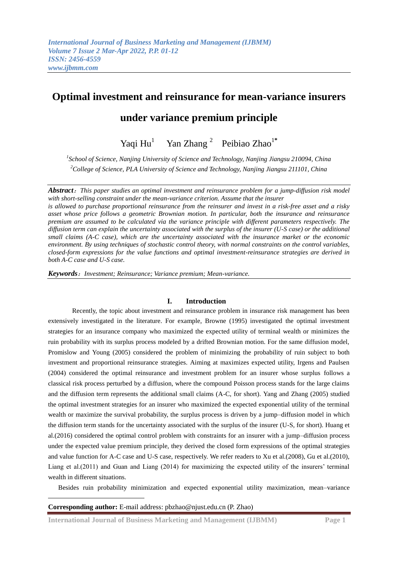# **Optimal investment and reinsurance for mean-variance insurers**

# **under variance premium principle**

Yaqi Hu<sup>1</sup> Yan Zhang <sup>2</sup> Peibiao Zhao<sup>1\*</sup>

*1 School of Science, Nanjing University of Science and Technology, Nanjing Jiangsu 210094, China <sup>2</sup>College of Science, PLA University of Science and Technology, Nanjing Jiangsu 211101, China* 

*Abstract*:*This paper studies an optimal investment and reinsurance problem for a jump-diffusion risk model with short-selling constraint under the mean-variance criterion. Assume that the insurer is allowed to purchase proportional reinsurance from the reinsurer and invest in a risk-free asset and a risky asset whose price follows a geometric Brownian motion. In particular, both the insurance and reinsurance premium are assumed to be calculated via the variance principle with different parameters respectively. The* 

*diffusion term can explain the uncertainty associated with the surplus of the insurer (U-S case) or the additional small claims (A-C case), which are the uncertainty associated with the insurance market or the economic environment. By using techniques of stochastic control theory, with normal constraints on the control variables, closed-form expressions for the value functions and optimal investment-reinsurance strategies are derived in both A-C case and U-S case.*

*Keywords*:*Investment; Reinsurance; Variance premium; Mean-variance.*

## **I. Introduction**

Recently, the topic about investment and reinsurance problem in insurance risk management has been extensively investigated in the literature. For example, Browne (1995) investigated the optimal investment strategies for an insurance company who maximized the expected utility of terminal wealth or minimizes the ruin probability with its surplus process modeled by a drifted Brownian motion. For the same diffusion model, Promislow and Young (2005) considered the problem of minimizing the probability of ruin subject to both investment and proportional reinsurance strategies. Aiming at maximizes expected utility, Irgens and Paulsen (2004) considered the optimal reinsurance and investment problem for an insurer whose surplus follows a classical risk process perturbed by a diffusion, where the compound Poisson process stands for the large claims and the diffusion term represents the additional small claims (A-C, for short). Yang and Zhang (2005) studied the optimal investment strategies for an insurer who maximized the expected exponential utility of the terminal wealth or maximize the survival probability, the surplus process is driven by a jump–diffusion model in which the diffusion term stands for the uncertainty associated with the surplus of the insurer (U-S, for short). Huang et al.(2016) considered the optimal control problem with constraints for an insurer with a jump–diffusion process under the expected value premium principle, they derived the closed form expressions of the optimal strategies and value function for A-C case and U-S case, respectively. We refer readers to Xu et al.(2008), Gu et al.(2010), Liang et al.(2011) and Guan and Liang (2014) for maximizing the expected utility of the insurers' terminal wealth in different situations.

Besides ruin probability minimization and expected exponential utility maximization, mean–variance

### **Corresponding author:** E-mail address: pbzhao@njust.edu.cn (P. Zhao)

<u>.</u>

**International Journal of Business Marketing and Management (IJBMM) Page 1**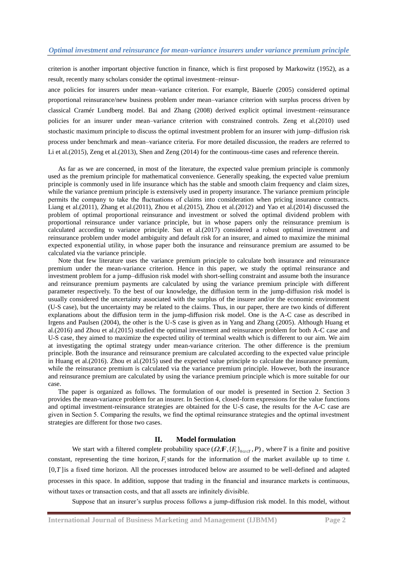criterion is another important objective function in finance, which is first proposed by Markowitz (1952), as a result, recently many scholars consider the optimal investment–reinsur-

ance policies for insurers under mean–variance criterion. For example, Bäuerle (2005) considered optimal proportional reinsurance/new business problem under mean–variance criterion with surplus process driven by classical Cramér Lundberg model. Bai and Zhang (2008) derived explicit optimal investment–reinsurance policies for an insurer under mean–variance criterion with constrained controls. Zeng et al.(2010) used stochastic maximum principle to discuss the optimal investment problem for an insurer with jump–diffusion risk process under benchmark and mean–variance criteria. For more detailed discussion, the readers are referred to Li et al.(2015), Zeng et al.(2013), Shen and Zeng (2014) for the continuous-time cases and reference therein.

As far as we are concerned, in most of the literature, the expected value premium principle is commonly used as the premium principle for mathematical convenience. Generally speaking, the expected value premium principle is commonly used in life insurance which has the stable and smooth claim frequency and claim sizes, while the variance premium principle is extensively used in property insurance. The variance premium principle permits the company to take the fluctuations of claims into consideration when pricing insurance contracts. Liang et al.(2011), Zhang et al.(2011), Zhou et al.(2015), Zhou et al.(2012) and Yao et al.(2014) discussed the problem of optimal proportional reinsurance and investment or solved the optimal dividend problem with proportional reinsurance under variance principle, but in whose papers only the reinsurance premium is calculated according to variance principle. Sun et al.(2017) considered a robust optimal investment and reinsurance problem under model ambiguity and default risk for an insurer, and aimed to maximize the minimal expected exponential utility, in whose paper both the insurance and reinsurance premium are assumed to be calculated via the variance principle.

Note that few literature uses the variance premium principle to calculate both insurance and reinsurance premium under the mean-variance criterion. Hence in this paper, we study the optimal reinsurance and investment problem for a jump–diffusion risk model with short-selling constraint and assume both the insurance and reinsurance premium payments are calculated by using the variance premium principle with different parameter respectively. To the best of our knowledge, the diffusion term in the jump-diffusion risk model is usually considered the uncertainty associated with the surplus of the insurer and/or the economic environment (U-S case), but the uncertainty may be related to the claims. Thus, in our paper, there are two kinds of different explanations about the diffusion term in the jump-diffusion risk model. One is the A-C case as described in Irgens and Paulsen (2004), the other is the U-S case is given as in Yang and Zhang (2005). Although Huang et al.(2016) and Zhou et al.(2015) studied the optimal investment and reinsurance problem for both A-C case and U-S case, they aimed to maximize the expected utility of terminal wealth which is different to our aim. We aim at investigating the optimal strategy under mean-variance criterion. The other difference is the premium principle. Both the insurance and reinsurance premium are calculated according to the expected value principle in Huang et al.(2016). Zhou et al.(2015) used the expected value principle to calculate the insurance premium, while the reinsurance premium is calculated via the variance premium principle. However, both the insurance and reinsurance premium are calculated by using the variance premium principle which is more suitable for our case.

The paper is organized as follows. The formulation of our model is presented in Section 2. Section 3 provides the mean-variance problem for an insurer. In Section 4, closed-form expressions for the value functions and optimal investment-reinsurance strategies are obtained for the U-S case, the results for the A-C case are given in Section 5. Comparing the results, we find the optimal reinsurance strategies and the optimal investment strategies are different for those two cases.

### **II. Model formulation**

We start with a filtered complete probability space  $(Q, \mathbf{F}, \{F_t\}_{0 \le t \le T}, P)$ , where T is a finite and positive constant, representing the time horizon,  $F_t$  stands for the information of the market available up to time  $t$ .  $[0, T]$  is a fixed time horizon. All the processes introduced below are assumed to be well-defined and adapted processes in this space. In addition, suppose that trading in the financial and insurance markets is continuous, without taxes or transaction costs, and that all assets are infinitely divisible.

Suppose that an insurer's surplus process follows a jump-diffusion risk model. In this model, without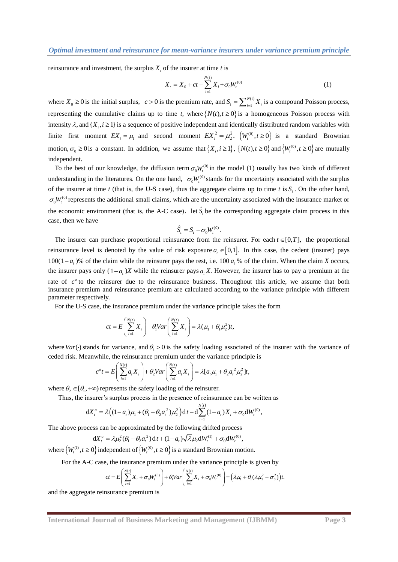reinsurance and investment, the surplus  $X_t$  of the insurer at time *t* is

$$
X_{t} = X_{0} + ct - \sum_{i=1}^{N(t)} X_{i} + \sigma_{0} W_{t}^{(0)}
$$
\n(1)

where  $X_0 \ge 0$  is the initial surplus,  $c > 0$  is the premium rate, and  $S_t = \sum_{i=1}^{N(t)}$  $= \sum_{i=1}^{N(i)}$  $S_i = \sum_{i=1}^{N(i)} X_i$  is a compound Poisson process, representing the cumulative claims up to time *t*, where  $\{N(t), t \ge 0\}$  is a homogeneous Poisson process with intensity  $\lambda$ , and  $\{X_i, i \geq 1\}$  is a sequence of positive independent and identically distributed random variables with finite first moment  $EX_i = \mu_1$  and second moment  $EX_i^2 = \mu_2^2$ .  $\{W_i^{(0)}, t \ge 0\}$  is a standard Brownian motion,  $\sigma_0 \ge 0$  is a constant. In addition, we assume that  $\{X_i, i \ge 1\}$ ,  $\{N(t), t \ge 0\}$  and  $\{W_t^{(0)}, t \ge 0\}$  are mutually independent.

To the best of our knowledge, the diffusion term  $\sigma_0 W_t^{(0)}$  in the model (1) usually has two kinds of different understanding in the literatures. On the one hand,  $\sigma_0W_t^{(0)}$  stands for the uncertainty associated with the surplus of the insurer at time *t* (that is, the U-S case), thus the aggregate claims up to time *t* is  $S<sub>t</sub>$ . On the other hand,  $\sigma_0W_t^{(0)}$  represents the additional small claims, which are the uncertainty associated with the insurance market or the economic environment (that is, the A-C case), let  $\hat{S}_t$  be the corresponding aggregate claim process in this case, then we have

$$
\hat{S}_t = S_t - \sigma_0 W_t^{(0)}.
$$

The insurer can purchase proportional reinsurance from the reinsurer. For each  $t \in [0, T]$ , the proportional reinsurance level is denoted by the value of risk exposure  $a_i \in [0,1]$ . In this case, the cedent (insurer) pays 100(1– $a_t$ )% of the claim while the reinsurer pays the rest, i.e. 100  $a_t$ , % of the claim. When the claim *X* occurs, the insurer pays only  $(1 - a)$  *X* while the reinsurer pays  $a<sub>i</sub> X$ . However, the insurer has to pay a premium at the rate of  $c^a$  to the reinsurer due to the reinsurance business. Throughout this article, we assume that both insurance premium and reinsurance premium are calculated according to the variance principle with different parameter respectively.

For the U-S case, the insurance premium under the variance principle takes the form

$$
ct = E\left(\sum_{i=1}^{N(t)} X_i\right) + \theta_1 Var\left(\sum_{i=1}^{N(t)} X_i\right) = \lambda(\mu_1 + \theta_1 \mu_2^2)t,
$$

where  $Var(\cdot)$  stands for variance, and  $\theta_1 > 0$  is the safety loading associated of the insurer with the variance of

where 
$$
Var(\cdot)
$$
 stands for variance, and  $\theta_1 > 0$  is the safety loading associated of  
\n
$$
c \cdot \text{dedd risk. Meanwhile, the reinsurance premium under the variance principle is}
$$

\n
$$
c^a t = E\left(\sum_{i=1}^{N(t)} a_i X_i\right) + \theta_2 Var\left(\sum_{i=1}^{N(t)} a_i X_i\right) = \lambda [a_i \mu_1 + \theta_2 a_i^2 \mu_2^2]t,
$$

where  $\theta_2 \in [\theta_1, +\infty)$  represents the safety loading of the reinsurer.

Thus, the insurer's surplus process in the presence of reinsurance can be written as  
\n
$$
dX_t^a = \lambda \Big( (1 - a_t)\mu_1 + (\theta_1 - \theta_2 a_t^2)\mu_2^2 \Big) dt - d \sum_{i=1}^{N(t)} (1 - a_t)X_i + \sigma_0 dW_t^{(0)},
$$

The above process can be approximated by the following drifted process  
\n
$$
dX_t^a = \lambda \mu_2^2 (\theta_1 - \theta_2 a_t^2) dt + (1 - a_t) \sqrt{\lambda} \mu_2 dW_t^{(1)} + \sigma_0 dW_t^{(0)},
$$

where  $\left\{W_t^{(1)}, t \geq 0\right\}$  independent of  $\left\{W_t^{(0)}, t \geq 0\right\}$  is a standard Brownian motion.

For the A-C case, the insurance premium under the variance principle is given by  
\n
$$
ct = E\left(\sum_{i=1}^{N(t)} X_i + \sigma_0 W_i^{(0)}\right) + \theta_i Var\left(\sum_{i=1}^{N(t)} X_i + \sigma_0 W_i^{(0)}\right) = \left(\lambda \mu_1 + \theta_1 (\lambda \mu_2^2 + \sigma_0^2)\right)t.
$$

and the aggregate reinsurance premium is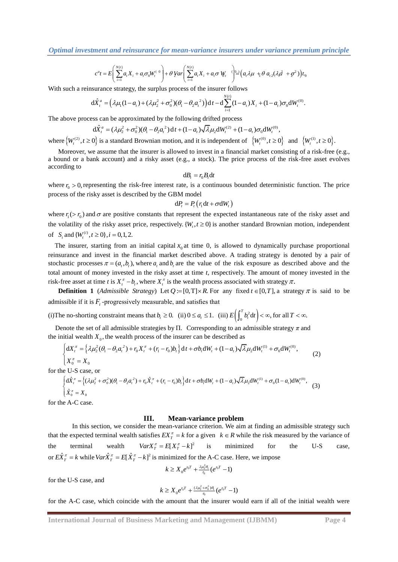**Optimal investment and reinsurance for mean-variance insures under variance premium principle**  

$$
c^{a}t = E\left(\sum_{i=1}^{N(t)} a_{i}X_{i} + a_{i}\sigma_{0}W_{t}^{(0)}\right) + \theta Var\left(\sum_{i=1}^{N(t)} a_{i}X_{i} + a_{i}\sigma W_{t}^{(0)}\right) = (a_{i}\lambda\mu + \theta a_{i}(\lambda\mu + \sigma^{2}))t_{0}
$$

With such a reinsurance strategy, the surplus process of the insurer follows  
\n
$$
d\hat{X}_i^a = (\lambda \mu_1 (1 - a_t) + (\lambda \mu_2^2 + \sigma_0^2)(\theta_1 - \theta_2 a_t^2)) dt - d \sum_{i=1}^{N(t)} (1 - a_t) X_i + (1 - a_t) \sigma_0 dW_t^{(0)}.
$$

The above process can be approximated by the following divided process  
\n
$$
d\hat{X}_t^a = (\lambda \mu_2^2 + \sigma_0^2)(\theta_1 - \theta_2 a_t^2) dt + (1 - a_t) \sqrt{\lambda} \mu_2 dW_t^{(2)} + (1 - a_t) \sigma_0 dW_t^{(0)},
$$

where  $\left\{W_t^{(2)}, t \ge 0\right\}$  is a standard Brownian motion, and it is independent of  $\left\{W_t^{(0)}, t \ge 0\right\}$  and  $\left\{W_t^{(1)}, t \ge 0\right\}$ .

Moreover, we assume that the insurer is allowed to invest in a financial market consisting of a risk-free (e.g., a bound or a bank account) and a risky asset (e.g., a stock). The price process of the risk-free asset evolves according to

$$
dB_t = r_0 B_t dt
$$

where  $r_0 > 0$ , representing the risk-free interest rate, is a continuous bounded deterministic function. The price process of the risky asset is described by the GBM model

$$
\mathrm{d}P_t = P_t\left(r_1\mathrm{d}t + \sigma \mathrm{d}W_t\right)
$$

where  $r_1$  ( $> r_0$ ) and  $\sigma$  are positive constants that represent the expected instantaneous rate of the risky asset and the volatility of the risky asset price, respectively.  $\{W_t, t \ge 0\}$  is another standard Brownian motion, independent of  $S_t$  and  $\{W_t^{(i)}, t \ge 0\}$ ,  $i = 0, 1, 2$ .

The insurer, starting from an initial capital  $x_0$  at time 0, is allowed to dynamically purchase proportional reinsurance and invest in the financial market described above. A trading strategy is denoted by a pair of stochastic processes  $\pi = (a_t, b_t)$ , where  $a_t$  and  $b_t$  are the value of the risk exposure as described above and the total amount of money invested in the risky asset at time *t*, respectively. The amount of money invested in the risk-free asset at time *t* is  $X_t^{\pi} - b_t$ , where  $X_t^{\pi}$  is the wealth process associated with strategy  $\pi$ .

**Definition 1** (*Admissible Strategy*) Let  $Q := [0, T] \times R$ . For any fixed  $t \in [0, T]$ , a strategy  $\pi$  is said to be admissible if it is  $F_t$ -progressively measurable, and satisfies that

(i) The no-shorting constraint means that  $b_t \ge 0$ . (ii)  $0 \le a_t \le 1$ . (iii)  $E\left(\int_0^t b_t^2 dt\right)$ .  $E\left(\int_0^T b_t^2 dt\right) < \infty$ , for all  $T < \infty$ .

Denote the set of all admissible strategies by  $\Pi$ . Corresponding to an admissible strategy *π* and *i* initial wealth  $X_0$ , the wealth process of the insurer can be described as  $\left\{ dX_t^{\pi} = \left\{ \lambda \mu_2^2 (\theta_1 - \theta_2 a_t^2) +$ 

the initial wealth 
$$
X_0
$$
, the wealth process of the insurer can be described as  
\n
$$
\begin{cases}\n dX_t^{\pi} = \left\{ \lambda \mu_2^2 (\theta_1 - \theta_2 a_t^2) + r_0 X_t^{\pi} + (r_1 - r_0) b_t \right\} dt + \sigma b_t dW_t + (1 - a_t) \sqrt{\lambda} \mu_2 dW_t^{(1)} + \sigma_0 dW_t^{(0)}, \\
 X_0^{\pi} = X_0\n\end{cases}
$$
\n(2)

$$
\begin{aligned}\n\left[X_0^{\pi} = X_0\n\right] \text{for the U-S case, or} \\
\begin{cases}\nd\hat{X}_i^{\pi} = \left\{ (\lambda \mu_2^2 + \sigma_0^2)(\theta_1 - \theta_2 a_i^2) + r_0 \hat{X}_i^{\pi} + (r_1 - r_0)b_i \right\} dt + \sigma b_i dW_t + (1 - a_i) \sqrt{\lambda} \mu_2 dW_t^{(1)} + \sigma_0 (1 - a_i) dW_t^{(0)}, \\
\hat{X}_0^{\pi} = X_0\n\end{cases} \n\end{aligned} \tag{3}
$$

for the A-C case.

#### **III. Mean-variance problem**

In this section, we consider the mean-variance criterion. We aim at finding an admissible strategy such that the expected terminal wealth satisfies  $EX_T^{\pi} = k$  for a given  $k \in R$  while the risk measured by the variance of the terminal wealth  $Var X_T^{\pi} = E[X_T^{\pi} - k]^2$ is minimized for the U-S case, or  $E\hat{X}_T^{\pi} = k$  while  $Var\hat{X}_T^{\pi} = E[\hat{X}_T^{\pi} - k]^2$  is minimized for the A-C case. Here, we impose

$$
k \geq X_0 e^{r_0 T} + \frac{\lambda \mu_2^2 \theta_1}{r_0} (e^{r_0 T} - 1)
$$

for the U-S case, and

$$
k \geq X_0 e^{r_0 T} + \frac{(\lambda \mu_2^2 + \sigma_0^2)\theta_1}{r_0} (e^{r_0 T} - 1)
$$

for the A-C case, which coincide with the amount that the insurer would earn if all of the initial wealth were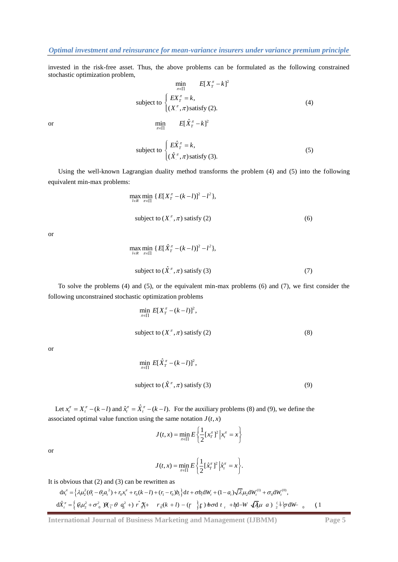# *Optimal investment and reinsurance for mean-variance insurers under variance premium principle*

invested in the risk-free asset. Thus, the above problems can be formulated as the following constrained stochastic optimization problem,

 $\min_{\pi \in \Pi}$   $E[\hat{X}_T^{\pi} - k]^2$ 

$$
\min_{\pi \in \Pi} E[X_{T}^{\pi} - k]^{2}
$$
\nsubject to\n
$$
\begin{cases}\nEX_{T}^{\pi} = k, \\
(X_{\cdot}^{\pi}, \pi) \text{ satisfy (2)}.\n\end{cases}
$$
\n(4)

or

subject to 
$$
\begin{cases} E\hat{X}_T^{\pi} = k, \\ (\hat{X}_T^{\pi}, \pi) \text{ satisfy (3).} \end{cases}
$$
 (5)

Using the well-known Lagrangian duality method transforms the problem (4) and (5) into the following equivalent min-max problems:

$$
\max_{l \in R} \min_{\pi \in \Pi} \{ E[X_T^{\pi} - (k - l)]^2 - l^2 \},
$$
\n
$$
\text{subject to } (X_{\cdot}^{\pi}, \pi) \text{ satisfy (2)}
$$
\n
$$
\tag{6}
$$

or

$$
\max_{l \in R} \min_{\pi \in \Pi} \{ E[\hat{X}_T^{\pi} - (k-l)]^2 - l^2 \},
$$
\n
$$
\text{subject to } (\hat{X}_T^{\pi}, \pi) \text{ satisfy (3)} \tag{7}
$$

To solve the problems (4) and (5), or the equivalent min-max problems (6) and (7), we first consider the following unconstrained stochastic optimization problems

$$
\min_{\pi \in \Pi} E[X_{T}^{\pi} - (k - l)]^{2},
$$
\n
$$
\text{subject to } (X_{\cdot}^{\pi}, \pi) \text{ satisfy (2)} \tag{8}
$$

or

$$
\min_{\pi \in \Pi} E[\hat{X}_T^{\pi} - (k-l)]^2,
$$
\nsubject to  $(\hat{X}_L^{\pi}, \pi)$  satisfy (3) (9)

Let  $x_t^{\pi} = X_t^{\pi} - (k - l)$  and  $\hat{x}_t^{\pi} = \hat{X}_t^{\pi} - (k - l)$ . For the auxiliary problems (8) and (9), we define the associated optimal value function using the same notation  $J(t, x)$ 

$$
J(t, x) = \min_{\pi \in \Pi} E \left\{ \frac{1}{2} [x_T^{\pi}]^2 | x_t^{\pi} = x \right\}
$$

or

$$
J(t,x) = \min_{\pi \in \Pi} E\left\{\frac{1}{2}[\hat{x}_T^{\pi}]^2 \Big|\hat{x}_t^{\pi} = x\right\}.
$$

It is obvious that  $(2)$  and  $(3)$  can be rewritten as

$$
\pi \in \left[1 - \left(2 - \frac{1}{2} + \frac{1}{2}\right)\right]
$$
\nso byious that (2) and (3) can be rewritten as

\n
$$
dx_i^{\pi} = \left\{\lambda \mu_2^2 (\theta_1 - \theta_2 a_i^2) + r_0 x_i^{\pi} + r_0 (k-l) + (r_1 - r_0) b_i\right\} dt + \sigma b_i dW_i + (1 - a_i) \sqrt{\lambda} \mu_2 dW_i^{(1)} + \sigma_0 dW_i^{(0)},
$$
\n
$$
d\hat{X}_i^{\pi} = \left\{\left(\lambda \mu_2^2 + \sigma_0^2 \right) \mathcal{H}_1 - \theta a_i^2 + \sigma_0^2 \mathcal{H}_2 + r_0 (k+l) - (r_0) \mathcal{H}_1\right\} + \sigma b_i dW_i + (1 - a_i) \sqrt{\lambda} \mu_2 dW_i^{(1)} + \sigma_0 dW_i^{(0)},
$$
\n(1)

**International Journal of Business Marketing and Management (IJBMM) Page 5**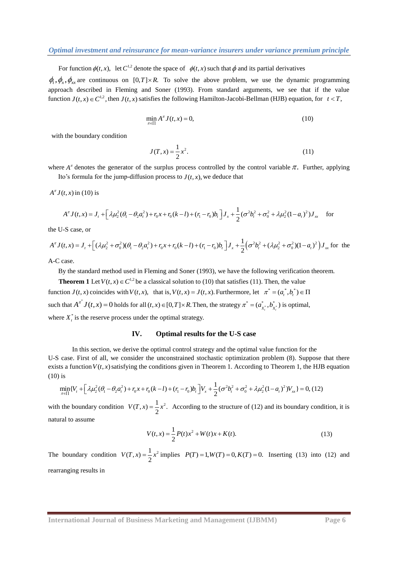For function  $\phi(t, x)$ , let C<sup>1,2</sup> denote the space of  $\phi(t, x)$  such that  $\phi$  and its partial derivatives

 $\phi_t$ ,  $\phi_x$ ,  $\phi_{xx}$  are continuous on [0,*T*] × *R*. To solve the above problem, we use the dynamic programming approach described in Fleming and Soner (1993). From standard arguments, we see that if the value function  $J(t, x) \in C^{1,2}$ , then  $J(t, x)$  satisfies the following Hamilton-Jacobi-Bellman (HJB) equation, for  $t < T$ ,

$$
\min_{\pi \in \Pi} A^{\pi} J(t, x) = 0,\tag{10}
$$

with the boundary condition

$$
J(T, x) = \frac{1}{2}x^2.
$$
 (11)

where  $A^{\pi}$  denotes the generator of the surplus process controlled by the control variable  $\pi$ . Further, applying Ito's formula for the jump-diffusion process to  $J(t, x)$ , we deduce that

 $A^{\pi} J(t, x)$  in (10) is

$$
(t, x) \text{ in (10) is}
$$
  
\n
$$
A^{\pi} J(t, x) = J_t + \left[\lambda \mu_2^2 (\theta_1 - \theta_2 a_t^2) + r_0 x + r_0 (k - l) + (r_1 - r_0) b_t \right] J_x + \frac{1}{2} (\sigma^2 b_t^2 + \sigma_0^2 + \lambda \mu_2^2 (1 - a_t)^2) J_{xx} \quad \text{for}
$$

the U-S case, or

$$
A J(t, x) = J_t + \left[ \lambda \mu_2 (\sigma_1 - \sigma_2 a_t) + r_0 x + r_0 (\kappa - t) + (r_1 - r_0) b_t \right] J_x + \frac{1}{2} (b b_t + b_0 + \lambda \mu_2 (1 - a_t)) J_x
$$
 for  
the U-S case, or  

$$
A^{\pi} J(t, x) = J_t + \left[ (\lambda \mu_2^2 + \sigma_0^2)(\theta_1 - \theta_2 a_t^2) + r_0 x + r_0 (k - l) + (r_1 - r_0) b_t \right] J_x + \frac{1}{2} \left( \sigma^2 b_t^2 + (\lambda \mu_2^2 + \sigma_0^2)(1 - a_t)^2 \right) J_{xx}
$$
 for the

A-C case.

By the standard method used in Fleming and Soner (1993), we have the following verification theorem.

**Theorem 1** Let  $V(t, x) \in C^{1,2}$  be a classical solution to (10) that satisfies (11). Then, the value function  $J(t, x)$  coincides with  $V(t, x)$ , that is,  $V(t, x) = J(t, x)$ . Furthermore, let  $\pi^* = (a_t^*, b_t^*) \in \Pi$ such that  $A^{\pi^*} J(t, x) = 0$  holds for all  $(t, x) \in [0, T] \times R$ . Then, the strategy  $\pi^* = (a_{x_t^*}^*, b_{x_t^*}^*)$  is optimal, where  $X_t^*$  is the reserve process under the optimal strategy.

## **IV. Optimal results for the U-S case**

In this section, we derive the optimal control strategy and the optimal value function for the U-S case. First of all, we consider the unconstrained stochastic optimization problem (8). Suppose that there exists a function  $V(t, x)$  satisfying the conditions given in Theorem 1. According to Theorem 1, the HJB equation (10) is<br>  $\min_{\pi \in \Pi} \{ V_t + \left[ \lambda \mu_2^2 (\theta_1 - \theta_2 a_t^2) + r_0 x + r_0 (k - l) + (r_1 - r_0) b_t \right] V_x + \frac{1}{2} (\sigma^2 b_t^2 + \sigma_0^2 + \lambda \$ (10) is

$$
\min_{\pi \in \Pi} \{ V_{t} + \left[ \lambda \mu_{2}^{2} (\theta_{1} - \theta_{2} a_{t}^{2}) + r_{0} x + r_{0} (k - l) + (r_{1} - r_{0}) b_{t} \right] V_{x} + \frac{1}{2} (\sigma^{2} b_{t}^{2} + \sigma_{0}^{2} + \lambda \mu_{2}^{2} (1 - a_{t})^{2}) V_{xx} \} = 0, (12)
$$

with the boundary condition  $V(T, x) = \frac{1}{2}x^2$ . According to the structure of (12) and its boundary condition, it is natural to assume

$$
V(t,x) = \frac{1}{2}P(t)x^{2} + W(t)x + K(t).
$$
\n(13)

The boundary condition  $V(T, x) = \frac{1}{2}x^2$  implies  $P(T) = 1, W(T) = 0, K(T) = 0$ . Inserting (13) into (12) and rearranging results in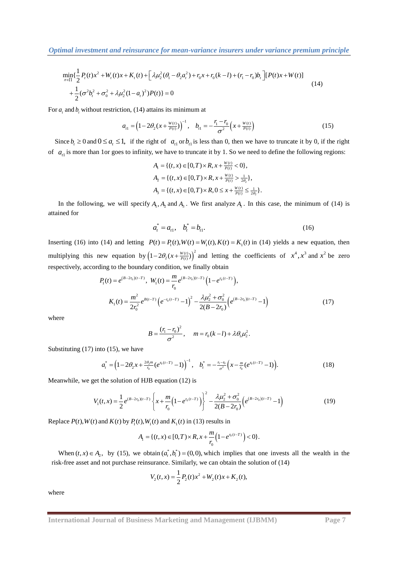**Optimal investment and reinsurance for mean-variance insures under variance premium principle**  
\n
$$
\min_{\pi \in \Pi} \{\frac{1}{2}P_t(t)x^2 + W_t(t)x + K_t(t) + \left[\lambda \mu_2^2(\theta_1 - \theta_2 a_t^2) + r_0x + r_0(k-l) + (r_1 - r_0)b_t\right][P(t)x + W(t)] + \frac{1}{2}(\sigma^2 b_t^2 + \sigma_0^2 + \lambda \mu_2^2(1-a_t)^2)P(t)\} = 0
$$
\n(14)

For 
$$
a_t
$$
 and  $b_t$  without restriction, (14) attains its minimum at  
\n
$$
a_{t1} = \left(1 - 2\theta_2 \left(x + \frac{w(t)}{P(t)}\right)\right)^{-1}, \quad b_{t1} = -\frac{r_t - r_0}{\sigma^2} \left(x + \frac{w(t)}{P(t)}\right)
$$
\n(15)

Since  $b_t \ge 0$  and  $0 \le a_t \le 1$ , if the right of  $a_{t}$  or  $b_{t}$  is less than 0, then we have to truncate it by 0, if the right of  $a_{1}$  is more than 1or goes to infinity, we have to truncate it by 1. So we need to define the following regions:

$$
A_1 = \{ (t, x) \in [0, T) \times R, x + \frac{w_{(t)}}{P(t)} < 0 \},
$$
\n
$$
A_2 = \{ (t, x) \in [0, T) \times R, x + \frac{w_{(t)}}{P(t)} > \frac{1}{2\theta_2} \},
$$
\n
$$
A_3 = \{ (t, x) \in [0, T) \times R, 0 \le x + \frac{w_{(t)}}{P(t)} \le \frac{1}{2\theta_2} \}.
$$

In the following, we will specify  $A_1$ ,  $A_2$  and  $A_3$ . We first analyze  $A_1$ . In this case, the minimum of (14) is attained for

$$
a_t^* = a_{t1}, \quad b_t^* = b_{t1}.
$$
 (16)

Inserting (16) into (14) and letting  $P(t) = P_1(t)$ ,  $W(t) = W_1(t)$ ,  $K(t) = K_1(t)$  in (14) yields a new equation, then multiplying this new equation by  $(1-2\theta_2(x+\frac{W(t)}{P(t)})^2)$  and letting the coefficients of  $x^4$ ,  $x^3$  and  $x^2$  be zero

respectively, according to the boundary condition, we finally obtain  
\n
$$
P_1(t) = e^{(B-2t_0)(t-T)}, \ W_1(t) = \frac{m}{r_0} e^{(B-2t_0)(t-T)} \left(1 - e^{r_0(t-T)}\right),
$$
\n
$$
K_1(t) = \frac{m^2}{2r_0^2} e^{B(t-T)} \left(e^{-r_0(t-T)} - 1\right)^2 - \frac{\lambda \mu_2^2 + \sigma_0^2}{2(B-2r_0)} \left(e^{(B-2t_0)(t-T)} - 1\right)
$$
\n(17)

where

$$
B = \frac{(r_1 - r_0)^2}{\sigma^2}, \quad m = r_0(k - l) + \lambda \theta_1 \mu_2^2.
$$

Substituting  $(17)$  into  $(15)$ , we have

ituting (17) into (15), we have  
\n
$$
a_t^* = \left(1 - 2\theta_2 x + \frac{2\theta_2 m}{r_0} (e^{r_0(t-T)} - 1)\right)^{-1}, \quad b_t^* = -\frac{r_1 - r_0}{\sigma^2} \left(x - \frac{m}{r_0} (e^{r_0(t-T)} - 1)\right).
$$
\n(18)

Meanwhile, we get the solution of HJB equation (12) is

while, we get the solution of HJB equation (12) is  
\n
$$
V_1(t,x) = \frac{1}{2} e^{(B-2r_0)(t-T)} \left\{ x + \frac{m}{r_0} \left( 1 - e^{r_0(t-T)} \right) \right\}^2 - \frac{\lambda \mu_2^2 + \sigma_0^2}{2(B-2r_0)} \left( e^{(B-2r_0)(t-T)} - 1 \right)
$$
\n(19)

Replace  $P(t)$ ,  $W(t)$  and  $K(t)$  by  $P_1(t)$ ,  $W_1(t)$  and  $K_1(t)$  in (13) results in

$$
A_1 = \{(t, x) \in [0, T) \times R, x + \frac{m}{r_0} \left(1 - e^{r_0 (t - T)}\right) < 0\}.
$$

When  $(t, x) \in A_2$ , by (15), we obtain  $(a_t^*, b_t^*) = (0, 0)$ , which implies that one invests all the wealth in the risk-free asset and not purchase reinsurance. Similarly, we can obtain the solution of (14)

$$
V_2(t,x) = \frac{1}{2}P_2(t)x^2 + W_2(t)x + K_2(t),
$$

where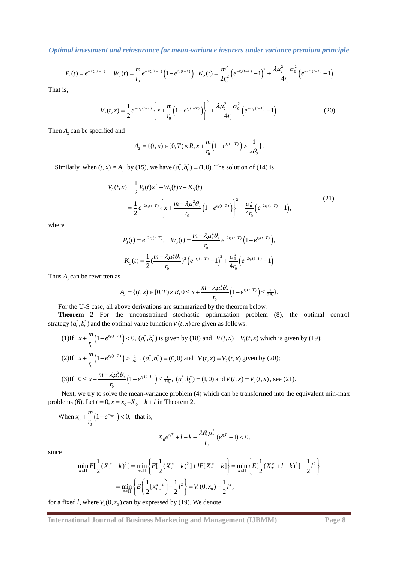$$
P_2(t) = e^{-2r_0(t-T)}, \quad W_2(t) = \frac{m}{r_0} e^{-2r_0(t-T)} \left(1 - e^{r_0(t-T)}\right), \quad K_2(t) = \frac{m^2}{2r_0^2} \left(e^{-r_0(t-T)} - 1\right)^2 + \frac{\lambda \mu_2^2 + \sigma_0^2}{4r_0} \left(e^{-2r_0(t-T)} - 1\right)
$$

That is,

is,  
\n
$$
V_2(t,x) = \frac{1}{2}e^{-2r_0(t-T)}\left\{x + \frac{m}{r_0}\left(1 - e^{r_0(t-T)}\right)\right\}^2 + \frac{\lambda\mu_2^2 + \sigma_0^2}{4r_0}\left(e^{-2r_0(t-T)} - 1\right)
$$
\n(20)

Then  $A_2$  can be specified and

$$
A_2 = \{(t, x) \in [0, T) \times R, x + \frac{m}{r_0} \Big( 1 - e^{r_0(t - T)} \Big) > \frac{1}{2\theta_2} \}.
$$

Similarly, when 
$$
(t, x) \in A_3
$$
, by (15), we have  $(a_t^*, b_t^*) = (1, 0)$ . The solution of (14) is  
\n
$$
V_3(t, x) = \frac{1}{2} P_3(t) x^2 + W_3(t) x + K_3(t)
$$
\n
$$
= \frac{1}{2} e^{-2r_0(t-T)} \left\{ x + \frac{m - \lambda \mu_2^2 \theta_2}{r_0} \left( 1 - e^{r_0(t-T)} \right) \right\}^2 + \frac{\sigma_0^2}{4r_0} \left( e^{-2r_0(t-T)} - 1 \right),
$$
\n(21)

where

$$
P_3(t) = e^{-2r_0(t-T)}, \quad W_3(t) = \frac{m - \lambda \mu_2^2 \theta_2}{r_0} e^{-2r_0(t-T)} \left(1 - e^{r_0(t-T)}\right),
$$

$$
K_3(t) = \frac{1}{2} \left(\frac{m - \lambda \mu_2^2 \theta_2}{r_0}\right)^2 \left(e^{-r_0(t-T)} - 1\right)^2 + \frac{\sigma_0^2}{4r_0} \left(e^{-2r_0(t-T)} - 1\right)
$$

Thus  $A_3$  can be rewritten as

s  
\n
$$
A_3 = \{(t, x) \in [0, T) \times R, 0 \le x + \frac{m - \lambda \mu_2^2 \theta_2}{r_0} \left(1 - e^{r_0 (t - T)}\right) \le \frac{1}{2\theta_2}\}.
$$

For the U-S case, all above derivations are summarized by the theorem below.

**Theorem 2** For the unconstrained stochastic optimization problem (8), the optimal control strategy  $(a_i^*, b_i^*)$  and the optimal value function  $V(t, x)$  are given as follows:

(1) If 
$$
x + \frac{m}{r_0} (1 - e^{r_0(t-T)}) < 0
$$
,  $(a_t^*, b_t^*)$  is given by (18) and  $V(t, x) = V_1(t, x)$  which is given by (19);  
\n(2) If  $x + \frac{m}{r_0} (1 - e^{r_0(t-T)}) > \frac{1}{2\theta_2}$ ,  $(a_t^*, b_t^*) = (0, 0)$  and  $V(t, x) = V_2(t, x)$  given by (20);  
\n(3) If  $0 \le x + \frac{m - \lambda \mu_2^2 \theta_2}{r_0} (1 - e^{r_0(t-T)}) \le \frac{1}{2\theta_2}$ ,  $(a_t^*, b_t^*) = (1, 0)$  and  $V(t, x) = V_3(t, x)$ , see (21).

Next, we try to solve the mean-variance problem (4) which can be transformed into the equivalent min-max problems (6). Let  $t = 0$ ,  $x = x_0 = X_0 - k + l$  in Theorem 2.

When 
$$
x_0 + \frac{m}{r_0} (1 - e^{-r_0 T}) < 0
$$
, that is,

$$
X_0 e^{r_0 T} + l - k + \frac{\lambda \theta_1 \mu_2^2}{r_0} (e^{r_0 T} - 1) < 0,
$$

since

$$
X_0 e^{i_0 t} + l - k + \frac{1}{r_0} \left( e^{i_0 t} - 1 \right) < 0,
$$
\n
$$
\min_{\pi \in \Pi} E[\frac{1}{2} (X_\pi^\pi - k)^2] = \min_{\pi \in \Pi} \left\{ E[\frac{1}{2} (X_\pi^\pi - k)^2] + l E[X_\pi^\pi - k] \right\} = \min_{\pi \in \Pi} \left\{ E[\frac{1}{2} (X_\pi^\pi + l - k)^2] - \frac{1}{2} l^2 \right\}
$$
\n
$$
= \min_{\pi \in \Pi} \left\{ E\left(\frac{1}{2} [X_\pi^\pi]^2\right) - \frac{1}{2} l^2 \right\} = V_1(0, x_0) - \frac{1}{2} l^2,
$$

for a fixed *l*, where  $V_1(0, x_0)$  can by expressed by (19). We denote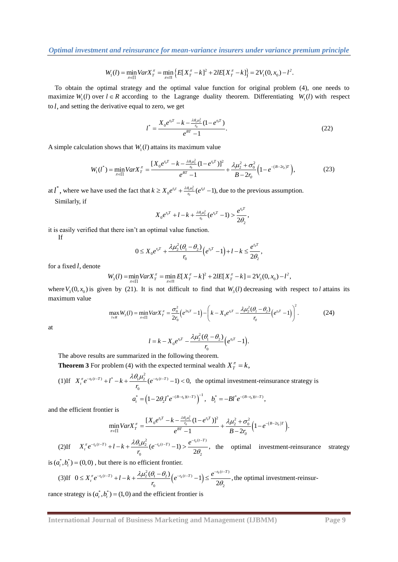$$
W_1(l) = \min_{\pi \in \Pi} \text{Var} X_T^{\pi} = \min_{\pi \in \Pi} \left\{ E[X_T^{\pi} - k]^2 + 2lE[X_T^{\pi} - k] \right\} = 2V_1(0, x_0) - l^2.
$$

To obtain the optimal strategy and the optimal value function for original problem (4), one needs to maximize  $W_1(l)$  over  $l \in R$  according to the Lagrange duality theorem. Differentiating  $W_1(l)$  with respect to *l*, and setting the derivative equal to zero, we get

$$
l^* = \frac{X_0 e^{r_0 T} - k - \frac{\lambda \theta_1 \mu_2^2}{r_0} (1 - e^{r_0 T})}{e^{BT} - 1}.
$$
\n(22)

A simple calculation shows that 
$$
W_1(l)
$$
 attains its maximum value  
\n
$$
W_1(l^*) = \min_{\pi \in \Pi} Var X_{T}^{\pi} = \frac{[X_0 e^{r_0 T} - k - \frac{\lambda \theta_1 \mu_2^2}{r_0} (1 - e^{r_0 T})]^2}{e^{BT} - 1} + \frac{\lambda \mu_2^2 + \sigma_0^2}{B - 2r_0} \left(1 - e^{-(B - 2r_0)T}\right),
$$
\n(23)

at  $l^*$ , where we have used the fact that  $k \ge X_0 e^{r_0 t} + \frac{\lambda \theta_1 \mu_2^2}{r_0} (e^{r_0 t} - 1)$ , due to the previous assumption.

Similarly, if

$$
X_0 e^{r_0 T} + l - k + \frac{\lambda \theta_1 \mu_2^2}{r_0} (e^{r_0 T} - 1) > \frac{e^{r_0 T}}{2 \theta_2},
$$

it is easily verified that there isn't an optimal value function.

If

$$
0 \leq X_0 e^{r_0 T} + \frac{\lambda \mu_2^2 (\theta_1 - \theta_2)}{r_0} \Big( e^{r_0 T} - 1 \Big) + l - k \leq \frac{e^{r_0 T}}{2 \theta_2},
$$

for a fixed *l*, denote

$$
V_0 \t\t 2\sigma_2
$$
  

$$
W_3(l) = \min_{\pi \in \Pi} VarX_T^{\pi} = \min_{\pi \in \Pi} E[X_T^{\pi} - k]^2 + 2lE[X_T^{\pi} - k] = 2V_3(0, x_0) - l^2,
$$

where  $V_3(0, x_0)$  is given by (21). It is not difficult to find that  $W_3(l)$  decreasing with respect to *l* attains its maximum value<br>max $W_3(l) = \min Var X_n^{\pi} = \frac{\sigma_0^2}{2} (e^{2\tau_0 T} - 1) - \left(k - X_0 e^{\tau_0 T} - \frac{\lambda \mu_2^2 (\theta_1 - \theta_2)}{\mu_2$ maximum value  $\frac{\sigma_0^2}{2} (e^{2\epsilon_0 T} - 1) - \left(k - X_0 e^{i\theta T} - \frac{\lambda \mu_2^2 (\theta_I - \theta_2)}{\lambda \mu_2^2} (e^{i\theta T} - 1)\right)$ 

num value  
\n
$$
\max_{i \in R} W_3(i) = \min_{\pi \in \Pi} Var X_{T}^{\pi} = \frac{\sigma_0^2}{2r_0} \left( e^{2r_0 T} - 1 \right) - \left( k - X_0 e^{r_0 T} - \frac{\lambda \mu_2^2 (\theta_1 - \theta_2)}{r_0} \left( e^{r_0 T} - 1 \right) \right)^2.
$$
\n(24)

at

$$
l = k - X_0 e^{r_0 T} - \frac{\lambda \mu_2^2 (\theta_1 - \theta_2)}{r_0} (e^{r_0 T} - 1).
$$

The above results are summarized in the following theorem.

**Theorem 3** For problem (4) with the expected terminal wealth 
$$
X_T^{\pi} = k
$$
,  
\n(1) If  $X_t^{\pi} e^{-r_0(t-T)} + t^* - k + \frac{\lambda \theta_1 \mu_2^2}{r_0} (e^{-r_0(t-T)} - 1) < 0$ , the optimal investment-reinsurance strategy is  
\n
$$
a_t^* = (1 - 2\theta_2 t^* e^{-(B-r_0)(t-T)})^{-1}, \quad b_t^* = -Bt^* e^{-(B-r_0)(t-T)},
$$

and the efficient frontier is

$$
\lim_{\pi \in \Pi} Var X_{T}^{\pi} = \frac{[X_{0}e^{r_{0}T} - k - \frac{\lambda \theta_{1} \mu_{2}^{2}}{r_{0}}(1 - e^{r_{0}T})]^{2}}{e^{BT} - 1} + \frac{\lambda \mu_{2}^{2} + \sigma_{0}^{2}}{B - 2r_{0}} \Big(1 - e^{-(B - 2r_{0})T}\Big).
$$

(2)If  $X_{i}^{\pi}e^{-r_{0}(t-T)}+l-k+\frac{\lambda\theta_{1}\mu_{2}^{2}}{2}(e^{-r_{0}(t-T)}-1)>\frac{e^{-r_{0}(t-T)}}{2}$  $\frac{1}{\omega_0}$  (e  $-1$ ) >  $\frac{1}{2\theta_2}$  $(e^{-r_0(t-T)}-1) > \frac{e^{-r_0(t-T)}}{2\theta_2},$  $\frac{\pi}{t}e^{-r_0(t-T)}+l-k+\frac{\lambda\theta_1\mu_2^2}{2}(e^{-r_0(t-T)}-1)>\frac{e^{-r_0(t-T)}}{2\Omega}$ *e*  $X_t^{\pi} e^{-r_0(t-T)} + l - k + \frac{\lambda \theta_1 \mu_2^2}{r_0}$  (*e*  $\pi \in \Pi$   $\pi \in \Pi$   $\frac{1}{\pi \rho^{-r_0(t-T)}} + 1 - k + \frac{\lambda \theta_1 \mu_2^2}{\rho^{-r_0}}$  $\theta$  $t^{-r_0(t-T)} + l - k + \frac{\lambda \theta_1 \mu_2^2}{r} (e^{-r_0(t-T)} - 1) > \frac{e^{-r_0(t-T)}}{2\theta}$ , the optimal investment-reinsurance strategy

is 
$$
(a_t^*, b_t^*) = (0,0)
$$
, but there is no efficient frontier.  
\n(3) If  $0 \le X_t^{\pi} e^{-r_0(t-T)} + l - k + \frac{\lambda \mu_2^2 (\theta_1 - \theta_2)}{r_0} (e^{-r_0(t-T)} - 1) \le \frac{e^{-r_0(t-T)}}{2\theta_2}$ , the optimal investment-reinsur-

rance strategy is  $(a_i^*, b_i^*) = (1,0)$  and the efficient frontier is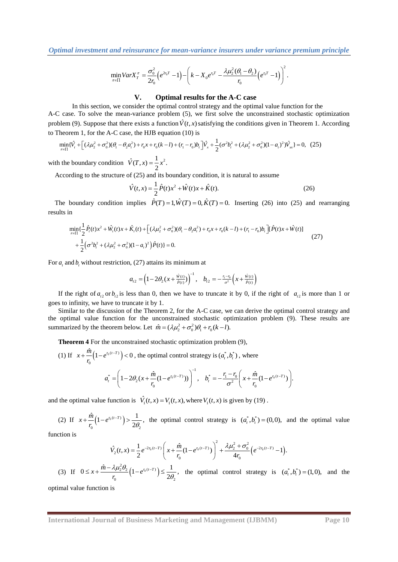*Optimal investment and reinsurance for mean-variance insurers under variance premium principle*

$$
\min_{\pi \in \Pi} Var X_{T}^{\pi} = \frac{\sigma_{0}^{2}}{2r_{0}} \left( e^{2r_{0}T} - 1 \right) - \left( k - X_{0} e^{r_{0}T} - \frac{\lambda \mu_{2}^{2} (\theta_{1} - \theta_{2})}{r_{0}} \left( e^{r_{0}T} - 1 \right) \right)^{2}.
$$

## **V. Optimal results for the A-C case**

In this section, we consider the optimal control strategy and the optimal value function for the A-C case. To solve the mean-variance problem (5), we first solve the unconstrained stochastic optimization problem (9). Suppose that there exists a function  $\hat{V}(t, x)$  satisfying the conditions given in Theorem 1. According<br>to Theorem 1, for the A-C case, the HJB equation (10) is<br> $\min_{\pi \in \Pi} {\{\hat{V}_t + [\Delta \mu_2^2 + \sigma_0^2)(\theta_1 - \theta_2 a_t$ 

to Theorem 1, for the A-C case, the HJB equation (10) is  
\n
$$
\min_{\pi \in \Pi} \{\hat{V}_t + \left[ (\lambda \mu_2^2 + \sigma_0^2)(\theta_1 - \theta_2 a_t^2) + r_0 x + r_0 (k-l) + (r_1 - r_0) b_t \right] \hat{V}_x + \frac{1}{2} (\sigma^2 b_t^2 + (\lambda \mu_2^2 + \sigma_0^2)(1 - a_t)^2) \hat{V}_{xx} = 0, (25)
$$

with the boundary condition  $\hat{V}(T, x) = \frac{1}{2}x^2$ .

According to the structure of (25) and its boundary condition, it is natural to assume

$$
\hat{V}(t,x) = \frac{1}{2}\hat{P}(t)x^2 + \hat{W}(t)x + \hat{K}(t).
$$
\n(26)

The boundary condition implies  $\hat{P}(T) = 1, \hat{W}(T) = 0, \hat{K}(T) = 0$ . Inserting (26) into (25) and rearranging results in

n  
\n
$$
\min_{\pi \in \Pi} \{\frac{1}{2}\hat{P}_i(t)x^2 + \hat{W}_i(t)x + \hat{K}_i(t) + \left[ (\lambda\mu_2^2 + \sigma_0^2)(\theta_1 - \theta_2 a_i^2) + r_0x + r_0(k-l) + (r_1 - r_0)b_i \right] [\hat{P}(t)x + \hat{W}(t)]
$$
\n
$$
+ \frac{1}{2} (\sigma^2 b_i^2 + (\lambda\mu_2^2 + \sigma_0^2)(1-a_i)^2) \hat{P}(t) = 0.
$$
\n(27)

For  $a_t$  and  $b_t$  without restriction, (27) attains its minimum at

$$
a_{t2} = \left(1 - 2\theta_2(x + \frac{\hat{w}(t)}{\hat{p}(t)})\right)^{-1}, \quad b_{t2} = -\frac{r_1 - r_0}{\sigma^2}\left(x + \frac{\hat{w}(t)}{\hat{p}(t)}\right)
$$

If the right of  $a_{12}$  or  $b_{12}$  is less than 0, then we have to truncate it by 0, if the right of  $a_{12}$  is more than 1 or goes to infinity, we have to truncate it by 1.

Similar to the discussion of the Theorem 2, for the A-C case, we can derive the optimal control strategy and the optimal value function for the unconstrained stochastic optimization problem (9). These results are summarized by the theorem below. Let  $\hat{m} = (\lambda \mu_2^2 + \sigma_0^2) \theta_1 + r_0 (k-l)$ .

**Theorem 4** For the unconstrained stochastic optimization problem (9),

(1) If 
$$
x + \frac{\hat{m}}{r_0} (1 - e^{r_0(t-T)}) < 0
$$
, the optimal control strategy is  $(a_t^*, b_t^*)$ , where  

$$
a_t^* = \left(1 - 2\theta_2 (x + \frac{\hat{m}}{r_0} (1 - e^{r_0(t-T)}))\right)^{-1}, \quad b_t^* = -\frac{r_1 - r_0}{\sigma^2} \left(x + \frac{\hat{m}}{r_0} (1 - e^{r_0(t-T)})\right).
$$

and the optimal value function is  $\hat{V}_1(t, x) = V_1(t, x)$ , where  $V_1(t, x)$  is given by (19).

(2) If  $x + \frac{m}{r} (1 - e^{r_0(t-T)})$  $\frac{1}{0}$   $2\theta_2$  $\frac{\hat{n}}{\hat{n}}(1-e^{r_0(t-T)})>\frac{1}{2\theta_2},$  $x + \frac{\hat{m}}{r_0} \left( 1 - e^{r_0(t-T)} \right) > \frac{1}{2\theta}$  $+\frac{m}{n}\left(1-e^{r_0(t-T)}\right)>\frac{1}{20}$ , the optimal control strategy is  $(a_t^*,b_t^*)=(0,0)$ , and the optimal value

function is

$$
\hat{V}_2(t,x) = \frac{1}{2} e^{-2r_0(t-T)} \left( x + \frac{\hat{m}}{r_0} (1 - e^{r_0(t-T)}) \right)^2 + \frac{\lambda \mu_2^2 + \sigma_0^2}{4r_0} \left( e^{-2r_0(t-T)} - 1 \right).
$$

(3) If  $0 \leq x + \frac{\hat{m} - \lambda \mu_2^2 \theta_2}{\hat{m}} \left( 1 - e^{r_0(t-T)} \right)$  $\frac{1}{0}$   $\frac{1}{2\theta_2}$  $0 \leq x + \frac{\hat{m} - \lambda \mu_2^2 \theta_2}{r_0} \left(1 - e^{r_0(t-T)}\right) \leq \frac{1}{2\theta_2},$  $x + \frac{\hat{m} - \lambda \mu_2^2 \theta_2}{r_0} \left(1 - e^{r_0 (t-T)}\right)$  $\lambda \mu_2^2 \theta_2$   $\mu_1$  $\theta$  $\leq x + \frac{\hat{m} - \lambda \mu_2^2 \theta_2}{\mu_1} (1 - e^{\tau_0 (t-T)}) \leq \frac{1}{2\theta}$ , the optimal control strategy is  $(a_i^*, b_i^*) = (1,0)$ , and the

optimal value function is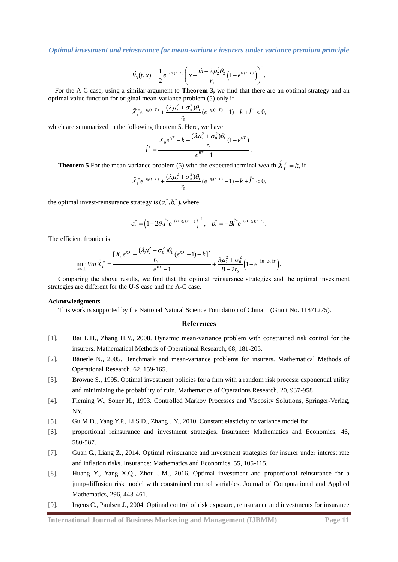$$
\hat{V}_3(t,x) = \frac{1}{2} e^{-2r_0(t-T)} \left( x + \frac{\hat{m} - \lambda \mu_2^2 \theta_2}{r_0} \left( 1 - e^{r_0(t-T)} \right) \right)^2.
$$

For the A-C case, using a similar argument to **Theorem 3,** we find that there are an optimal strategy and an optimal value function for original mean-variance problem (5) only if  $\hat{X}_i^{\pi}e^{-r_0(t-T)} + \frac{(\lambda\mu_2^2 + \sigma_0^2)\theta_1}{r}(e^{-r_0(t-T)} - 1) - k + \hat{l}^* < 0$ ,

$$
\hat{X}_{t}^{\pi}e^{-r_{0}(t-T)}+\frac{(\lambda\mu_{2}^{2}+\sigma_{0}^{2})\theta_{1}}{r_{0}}(e^{-r_{0}(t-T)}-1)-k+\hat{t}^{*}<0,
$$

which are summarized in the following theorem 5. Here, we have<br>  $X_0 e^{r_0 T} - k - \frac{(\lambda \mu_2^2 + \sigma_0^2) \theta_1}{r} (1 - e^{r_0 T})$ 

$$
\hat{l}^* = \frac{X_0 e^{r_0 T} - k - \frac{(\lambda \mu_2^2 + \sigma_0^2) \theta_1}{r_0} (1 - e^{r_0 T})}{e^{BT} - 1}.
$$

**Theorem 5** For the mean-variance problem (5) with the expected terminal wealth 
$$
\hat{X}_T^{\pi} = k
$$
, if  
\n
$$
\hat{X}_t^{\pi} e^{-r_0(t-T)} + \frac{(\lambda \mu_2^2 + \sigma_0^2) \theta_1}{r_0} (e^{-r_0(t-T)} - 1) - k + \hat{l}^* < 0,
$$

the optimal invest-reinsurance strategy is  $(a_i^*, b_i^*)$ , where

$$
a_t^* = \left(1 - 2\theta_2 \hat{l}^* e^{-(B - r_0)(t - T)}\right)^{-1}, \quad b_t^* = -B\hat{l}^* e^{-(B - r_0)(t - T)}.
$$

The efficient frontier is

ent frontier is  
\n
$$
\min_{\pi \in \Pi} Var \hat{X}_{T}^{\pi} = \frac{[X_{0}e^{r_{0}T} + (\lambda \mu_{2}^{2} + \sigma_{0}^{2})\theta_{1}}{r_{0}}(e^{r_{0}T} - 1) - k]^{2}}{e^{BT} - 1} + \frac{\lambda \mu_{2}^{2} + \sigma_{0}^{2}}{B - 2r_{0}} \Big(1 - e^{-(B - 2r_{0})T}\Big).
$$

Comparing the above results, we find that the optimal reinsurance strategies and the optimal investment strategies are different for the U-S case and the A-C case.

### **Acknowledgments**

This work is supported by the National Natural Science Foundation of China (Grant No. 11871275).

### **References**

- [1]. Bai L.H., Zhang H.Y., 2008. Dynamic mean-variance problem with constrained risk control for the insurers[. Mathematical Methods of Operational Research,](http://www.baidu.com/link?url=6SKSOKKe3PJebR2R8noNTcp5EsMCrAFQoip5MTymZ0pM6EpA_jWx0spqnh8mu4iqjAlEApEYUR3vPw97aYOq6mPrlJckXPYEOFt0ELEyWNir6uZz52MNqp53IQH5RlUpCRY45T3VE39Cej0mwXc-EBCXVgUpSDvxB99ikTlRKLqC8wUTpFo_Cu3vp_LYEsQ4rNmXdoO29Bb92SkE2Ds5vwc0Whw_K8DF2rDLPsnNPWKrzeHfChMx-gKJff_peC2uWyK-s6kUDdFzLEvLXVMZfFdSYx2wGEhVrn9e43Wd8__&wd=&eqid=e916ce3400166a9600000005575f6c56) 68, 181-205.
- [2]. Bäuerle N., 2005. Benchmark and mean-variance problems for insurers. [Mathematical Methods of](http://www.baidu.com/link?url=6SKSOKKe3PJebR2R8noNTcp5EsMCrAFQoip5MTymZ0pM6EpA_jWx0spqnh8mu4iqjAlEApEYUR3vPw97aYOq6mPrlJckXPYEOFt0ELEyWNir6uZz52MNqp53IQH5RlUpCRY45T3VE39Cej0mwXc-EBCXVgUpSDvxB99ikTlRKLqC8wUTpFo_Cu3vp_LYEsQ4rNmXdoO29Bb92SkE2Ds5vwc0Whw_K8DF2rDLPsnNPWKrzeHfChMx-gKJff_peC2uWyK-s6kUDdFzLEvLXVMZfFdSYx2wGEhVrn9e43Wd8__&wd=&eqid=e916ce3400166a9600000005575f6c56)  [Operational Research,](http://www.baidu.com/link?url=6SKSOKKe3PJebR2R8noNTcp5EsMCrAFQoip5MTymZ0pM6EpA_jWx0spqnh8mu4iqjAlEApEYUR3vPw97aYOq6mPrlJckXPYEOFt0ELEyWNir6uZz52MNqp53IQH5RlUpCRY45T3VE39Cej0mwXc-EBCXVgUpSDvxB99ikTlRKLqC8wUTpFo_Cu3vp_LYEsQ4rNmXdoO29Bb92SkE2Ds5vwc0Whw_K8DF2rDLPsnNPWKrzeHfChMx-gKJff_peC2uWyK-s6kUDdFzLEvLXVMZfFdSYx2wGEhVrn9e43Wd8__&wd=&eqid=e916ce3400166a9600000005575f6c56) 62, 159-165.
- [3]. Browne S., 1995. Optimal investment policies for a firm with a random risk process: exponential utility and minimizing the probability of ruin. Mathematics of Operations Research, 20, 937-958
- [4]. Fleming W., Soner H., 1993. Controlled Markov Processes and Viscosity Solutions, Springer-Verlag, NY.
- [5]. Gu M.D., Yang Y.P., Li S.D., Zhang J.Y., 2010. Constant elasticity of variance model for
- [6]. proportional reinsurance and investment strategies. Insurance: Mathematics and Economics, 46, 580-587.
- [7]. Guan G., Liang Z., 2014. Optimal reinsurance and investment strategies for insurer under interest rate and inflation risks. Insurance: Mathematics and Economics, 55, 105-115.
- [8]. Huang Y., Yang X.Q., Zhou J.M., 2016. Optimal investment and proportional reinsurance for a jump-diffusion risk model with constrained control variables. Journal of Computational and Applied Mathematics, 296, 443-461.
- [9]. Irgens C., Paulsen J., 2004. Optimal control of risk exposure, reinsurance and investments for insurance

**International Journal of Business Marketing and Management (IJBMM) Page 11**